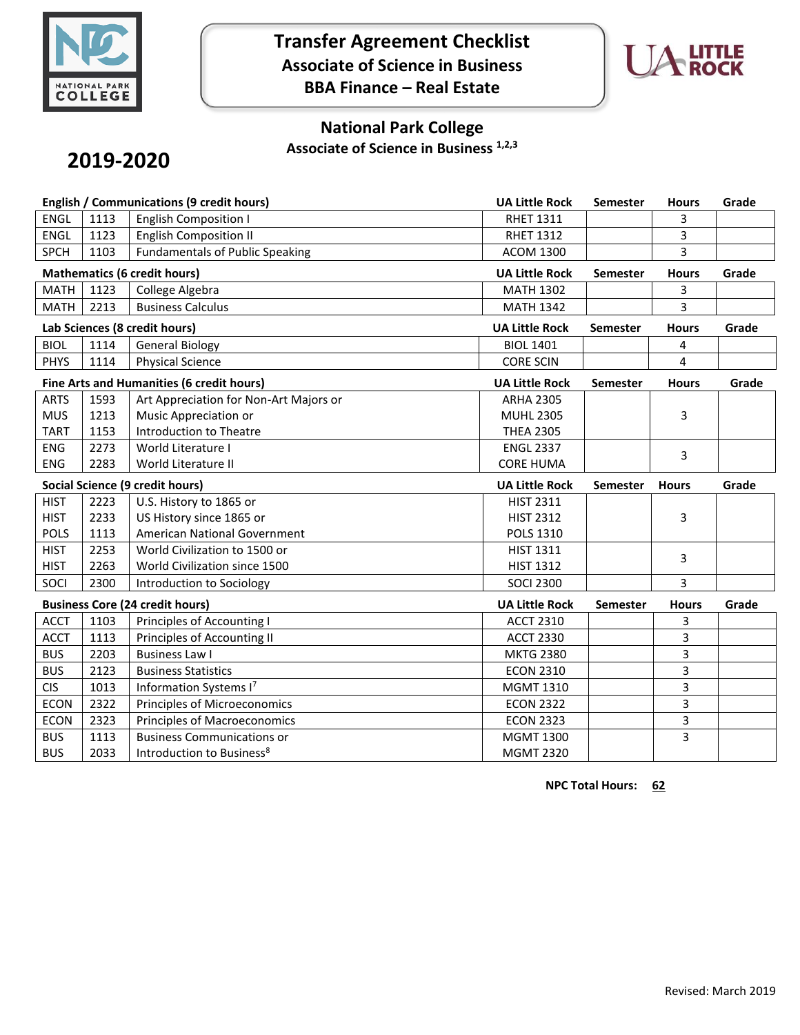

**Transfer Agreement Checklist Associate of Science in Business BBA Finance – Real Estate**



## **National Park College**

**Associate of Science in Business 1,2,3**

# **2019-2020**

| English / Communications (9 credit hours) |      |                                        | <b>UA Little Rock</b> | Semester        | <b>Hours</b> | Grade |
|-------------------------------------------|------|----------------------------------------|-----------------------|-----------------|--------------|-------|
| <b>ENGL</b>                               | 1113 | <b>English Composition I</b>           | <b>RHET 1311</b>      |                 | 3            |       |
| <b>ENGL</b>                               | 1123 | <b>English Composition II</b>          | <b>RHET 1312</b>      |                 | 3            |       |
| <b>SPCH</b>                               | 1103 | <b>Fundamentals of Public Speaking</b> | <b>ACOM 1300</b>      |                 | 3            |       |
|                                           |      | <b>Mathematics (6 credit hours)</b>    | <b>UA Little Rock</b> | Semester        | <b>Hours</b> | Grade |
| <b>MATH</b>                               | 1123 | College Algebra                        | <b>MATH 1302</b>      |                 | 3            |       |
| <b>MATH</b>                               | 2213 | <b>Business Calculus</b>               | <b>MATH 1342</b>      |                 | 3            |       |
| Lab Sciences (8 credit hours)             |      |                                        | <b>UA Little Rock</b> | <b>Semester</b> | <b>Hours</b> | Grade |
| <b>BIOL</b>                               | 1114 | <b>General Biology</b>                 | <b>BIOL 1401</b>      |                 | 4            |       |
| <b>PHYS</b>                               | 1114 | <b>Physical Science</b>                | <b>CORE SCIN</b>      |                 | 4            |       |
| Fine Arts and Humanities (6 credit hours) |      |                                        | <b>UA Little Rock</b> | <b>Semester</b> | <b>Hours</b> | Grade |
| <b>ARTS</b>                               | 1593 | Art Appreciation for Non-Art Majors or | <b>ARHA 2305</b>      |                 |              |       |
| <b>MUS</b>                                | 1213 | Music Appreciation or                  | <b>MUHL 2305</b>      |                 | 3            |       |
| <b>TART</b>                               | 1153 | <b>Introduction to Theatre</b>         | <b>THEA 2305</b>      |                 |              |       |
| <b>ENG</b>                                | 2273 | World Literature I                     | <b>ENGL 2337</b>      |                 | 3            |       |
| <b>ENG</b>                                | 2283 | World Literature II                    | <b>CORE HUMA</b>      |                 |              |       |
| <b>Social Science (9 credit hours)</b>    |      |                                        |                       |                 |              |       |
|                                           |      |                                        | <b>UA Little Rock</b> | <b>Semester</b> | <b>Hours</b> | Grade |
| <b>HIST</b>                               | 2223 | U.S. History to 1865 or                | <b>HIST 2311</b>      |                 |              |       |
| <b>HIST</b>                               | 2233 | US History since 1865 or               | <b>HIST 2312</b>      |                 | 3            |       |
| <b>POLS</b>                               | 1113 | American National Government           | <b>POLS 1310</b>      |                 |              |       |
| <b>HIST</b>                               | 2253 | World Civilization to 1500 or          | <b>HIST 1311</b>      |                 |              |       |
| <b>HIST</b>                               | 2263 | World Civilization since 1500          | <b>HIST 1312</b>      |                 | 3            |       |
| SOCI                                      | 2300 | Introduction to Sociology              | <b>SOCI 2300</b>      |                 | 3            |       |
|                                           |      | <b>Business Core (24 credit hours)</b> | <b>UA Little Rock</b> | <b>Semester</b> | <b>Hours</b> | Grade |
| <b>ACCT</b>                               | 1103 | Principles of Accounting I             | <b>ACCT 2310</b>      |                 | 3            |       |
| <b>ACCT</b>                               | 1113 | Principles of Accounting II            | <b>ACCT 2330</b>      |                 | 3            |       |
| <b>BUS</b>                                | 2203 | <b>Business Law I</b>                  | <b>MKTG 2380</b>      |                 | 3            |       |
| <b>BUS</b>                                | 2123 | <b>Business Statistics</b>             | <b>ECON 2310</b>      |                 | 3            |       |
| <b>CIS</b>                                | 1013 | Information Systems I7                 | <b>MGMT 1310</b>      |                 | 3            |       |
| <b>ECON</b>                               | 2322 | Principles of Microeconomics           | <b>ECON 2322</b>      |                 | 3            |       |
| <b>ECON</b>                               | 2323 | <b>Principles of Macroeconomics</b>    | <b>ECON 2323</b>      |                 | 3            |       |
| <b>BUS</b>                                | 1113 | <b>Business Communications or</b>      | <b>MGMT 1300</b>      |                 | 3            |       |

**NPC Total Hours: 62**